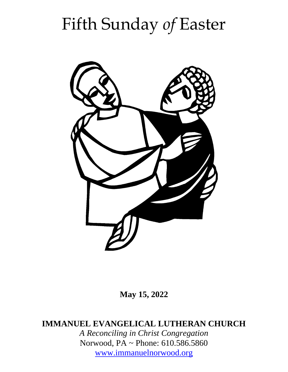# Fifth Sunday *of* Easter



**May 15, 2022**

**IMMANUEL EVANGELICAL LUTHERAN CHURCH**

*A Reconciling in Christ Congregation* Norwood, PA ~ Phone: 610.586.5860 [www.immanuelnorwood.org](http://www.immanuelnorwood.org/)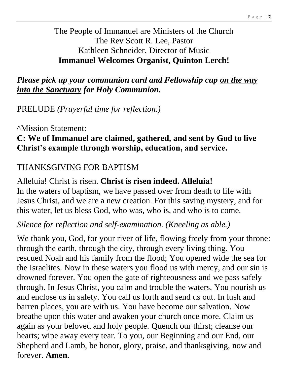The People of Immanuel are Ministers of the Church The Rev Scott R. Lee, Pastor Kathleen Schneider, Director of Music **Immanuel Welcomes Organist, Quinton Lerch!**

*Please pick up your communion card and Fellowship cup on the way into the Sanctuary for Holy Communion.*

PRELUDE *(Prayerful time for reflection.)*

^Mission Statement:

#### **C: We of Immanuel are claimed, gathered, and sent by God to live Christ's example through worship, education, and service.**

#### THANKSGIVING FOR BAPTISM

Alleluia! Christ is risen. **Christ is risen indeed. Alleluia!** In the waters of baptism, we have passed over from death to life with Jesus Christ, and we are a new creation. For this saving mystery, and for this water, let us bless God, who was, who is, and who is to come.

*Silence for reflection and self-examination. (Kneeling as able.)*

We thank you, God, for your river of life, flowing freely from your throne: through the earth, through the city, through every living thing. You rescued Noah and his family from the flood; You opened wide the sea for the Israelites. Now in these waters you flood us with mercy, and our sin is drowned forever. You open the gate of righteousness and we pass safely through. In Jesus Christ, you calm and trouble the waters. You nourish us and enclose us in safety. You call us forth and send us out. In lush and barren places, you are with us. You have become our salvation. Now breathe upon this water and awaken your church once more. Claim us again as your beloved and holy people. Quench our thirst; cleanse our hearts; wipe away every tear. To you, our Beginning and our End, our Shepherd and Lamb, be honor, glory, praise, and thanksgiving, now and forever. **Amen.**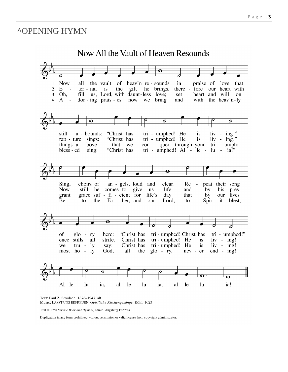#### **^OPENING HYMN**



Text: Paul Z. Strodach, 1876-1947, alt. Music: LASST UNS ERFREUEN, Geistliche Kirchengesänge, Köln, 1623

Text © 1958 Service Book and Hymnal, admin. Augsburg Fortress

Duplication in any form prohibited without permission or valid license from copyright administrator.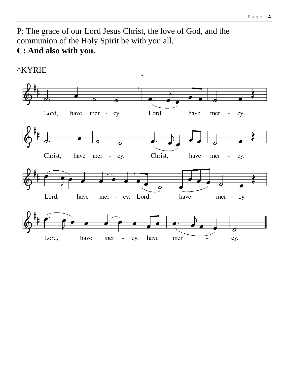P: The grace of our Lord Jesus Christ, the love of God, and the communion of the Holy Spirit be with you all. C: And also with you.

#### **^KYRIE**

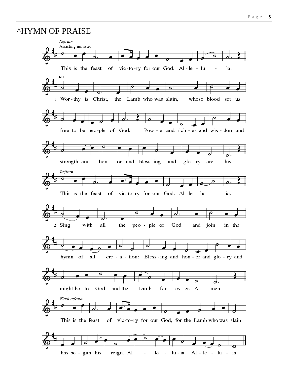#### **AHYMN OF PRAISE**

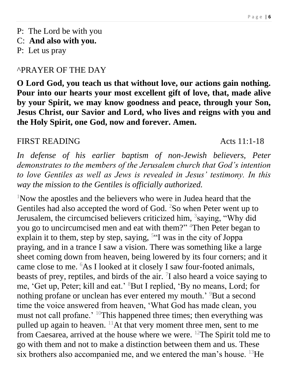- P: The Lord be with you
- C: **And also with you.**
- P: Let us pray

#### ^PRAYER OF THE DAY

**O Lord God, you teach us that without love, our actions gain nothing. Pour into our hearts your most excellent gift of love, that, made alive by your Spirit, we may know goodness and peace, through your Son, Jesus Christ, our Savior and Lord, who lives and reigns with you and the Holy Spirit, one God, now and forever. Amen.**

#### FIRST READING Acts 11:1-18

In defense of his earlier baptism of non-Jewish believers, Peter *demonstrates to the members of the Jerusalem church that God's intention to love Gentiles as well as Jews is revealed in Jesus' testimony. In this way the mission to the Gentiles is officially authorized.*

<sup>1</sup>Now the apostles and the believers who were in Judea heard that the Gentiles had also accepted the word of God. <sup>2</sup>So when Peter went up to Jerusalem, the circumcised believers criticized him, <sup>3</sup>saying, "Why did you go to uncircumcised men and eat with them?" <sup>4</sup>Then Peter began to explain it to them, step by step, saying,  $5\degree$  was in the city of Joppa praying, and in a trance I saw a vision. There was something like a large sheet coming down from heaven, being lowered by its four corners; and it came close to me. <sup>6</sup>As I looked at it closely I saw four-footed animals, beasts of prey, reptiles, and birds of the air.  $\overline{1}$  also heard a voice saying to me, 'Get up, Peter; kill and eat.' <sup>8</sup>But I replied, 'By no means, Lord; for nothing profane or unclean has ever entered my mouth.<sup>'9</sup>But a second time the voice answered from heaven, 'What God has made clean, you must not call profane.' <sup>10</sup>This happened three times; then everything was pulled up again to heaven.  $^{11}$ At that very moment three men, sent to me from Caesarea, arrived at the house where we were. <sup>12</sup>The Spirit told me to go with them and not to make a distinction between them and us. These six brothers also accompanied me, and we entered the man's house.  $^{13}$ He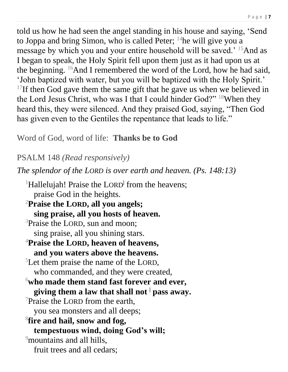told us how he had seen the angel standing in his house and saying, 'Send to Joppa and bring Simon, who is called Peter;  $\frac{14}{1}$ he will give you a message by which you and your entire household will be saved.' <sup>15</sup>And as I began to speak, the Holy Spirit fell upon them just as it had upon us at the beginning. <sup>16</sup>And I remembered the word of the Lord, how he had said, 'John baptized with water, but you will be baptized with the Holy Spirit.' <sup>17</sup>If then God gave them the same gift that he gave us when we believed in the Lord Jesus Christ, who was I that I could hinder God?" <sup>18</sup>When they heard this, they were silenced. And they praised God, saying, "Then God has given even to the Gentiles the repentance that leads to life."

Word of God, word of life: **Thanks be to God**

PSALM 148 *(Read responsively)*

*The splendor of the LORD is over earth and heaven. (Ps. 148:13)*

<sup>1</sup>Hallelujah! Praise the LORD<sup>†</sup> from the heavens; praise God in the heights.

<sup>2</sup>**Praise the LORD, all you angels; sing praise, all you hosts of heaven.**

- <sup>3</sup>Praise the LORD, sun and moon; sing praise, all you shining stars.
- <sup>4</sup>**Praise the LORD, heaven of heavens, and you waters above the heavens.**

<sup>5</sup>Let them praise the name of the LORD, who commanded, and they were created,

- <sup>6</sup>**who made them stand fast forever and ever, giving them a law that shall not <sup>|</sup> pass away.**
- $\sqrt{7}$ Praise the LORD from the earth, you sea monsters and all deeps;
- 8 **fire and hail, snow and fog, tempestuous wind, doing God's will;** <sup>9</sup>mountains and all hills, fruit trees and all cedars;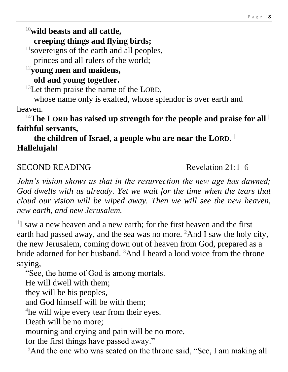## <sup>10</sup>**wild beasts and all cattle,**

**creeping things and flying birds;**

<sup>11</sup> sovereigns of the earth and all peoples,

princes and all rulers of the world;

#### <sup>12</sup>**young men and maidens,**

#### **old and young together.**

 $13$ Let them praise the name of the LORD,

whose name only is exalted, whose splendor is over earth and heaven.

#### <sup>14</sup>**The LORD has raised up strength for the people and praise for all <sup>|</sup> faithful servants,**

#### **the children of Israel, a people who are near the LORD. | Hallelujah!**

#### SECOND READING Revelation 21:1–6

*John's vision shows us that in the resurrection the new age has dawned; God dwells with us already. Yet we wait for the time when the tears that cloud our vision will be wiped away. Then we will see the new heaven, new earth, and new Jerusalem.*

<sup>1</sup>I saw a new heaven and a new earth; for the first heaven and the first earth had passed away, and the sea was no more.  ${}^{2}$ And I saw the holy city, the new Jerusalem, coming down out of heaven from God, prepared as a bride adorned for her husband. <sup>3</sup>And I heard a loud voice from the throne saying,

"See, the home of God is among mortals.

He will dwell with them;

they will be his peoples,

and God himself will be with them;

<sup>4</sup>he will wipe every tear from their eyes.

Death will be no more;

mourning and crying and pain will be no more,

for the first things have passed away."

<sup>5</sup>And the one who was seated on the throne said, "See, I am making all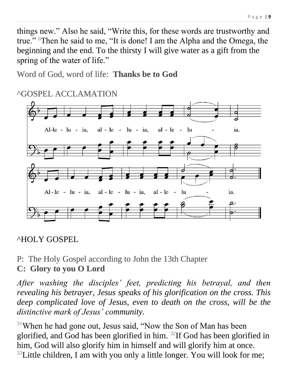things new." Also he said, "Write this, for these words are trustworthy and true." <sup>6</sup>Then he said to me, "It is done! I am the Alpha and the Omega, the beginning and the end. To the thirsty I will give water as a gift from the spring of the water of life."

Word of God, word of life: **Thanks be to God**

### ^GOSPEL ACCLAMATION



#### ^HOLY GOSPEL

P:The Holy Gospel according to John the 13th Chapter

#### **C: Glory to you O Lord**

*After washing the disciples' feet, predicting his betrayal, and then revealing his betrayer, Jesus speaks of his glorification on the cross. This deep complicated love of Jesus, even to death on the cross, will be the distinctive mark of Jesus' community.*

<sup>31</sup>When he had gone out, Jesus said, "Now the Son of Man has been glorified, and God has been glorified in him. <sup>32</sup>If God has been glorified in him, God will also glorify him in himself and will glorify him at once.  $33$ Little children, I am with you only a little longer. You will look for me;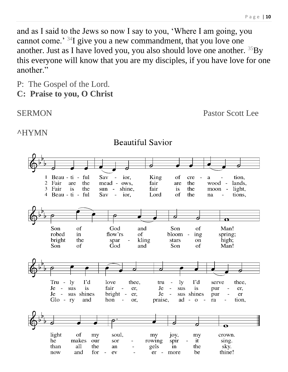and as I said to the Jews so now I say to you, 'Where I am going, you cannot come.' <sup>34</sup>I give you a new commandment, that you love one another. Just as I have loved you, you also should love one another.  ${}^{35}By$ this everyone will know that you are my disciples, if you have love for one another."

P:The Gospel of the Lord.

**C: Praise to you, O Christ**

SERMON Pastor Scott Lee

#### **^**HYMN

Sav Beau - ti ful ior. King  $\mathbf{1}$  $\frac{1}{2}$ οf cre a tion, 2 Fair are the mead ows. fair are the wood lands. fair 3 Fair  $is$ the sun shine, the moon light, is  $\overline{\phantom{a}}$ 4 Beau - ti - ful the  $Sav$ ior. Lord of tions. na God Son of and Son of Man! robed in flow'rs of bloom ing spring; bright the spar kling stars high; on Son of God Son and of Man!  $Tru - lw$ I'd love  $1<sub>V</sub>$ I'd thee. serve thee. tru  $\sim$ Je - sus is fair Je sus is er,  $\sim$   $$ pur er,  $Je -$ Je - sus shines bright er, sus shines pur er  $Glo$  - ry and hon praise, ad  $-$  0 ra tion, or,  $\overline{\mathbf{o}}$ light οf soul, crown. my my joy, my he makes it our rowing spir sing. sor all the the sky. than an gels in and for be thine! now ev  $er$ more

**Beautiful Savior**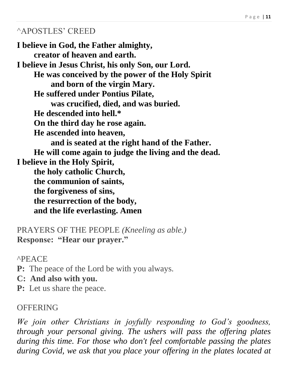#### ^APOSTLES' CREED

**I believe in God, the Father almighty, creator of heaven and earth. I believe in Jesus Christ, his only Son, our Lord. He was conceived by the power of the Holy Spirit and born of the virgin Mary. He suffered under Pontius Pilate, was crucified, died, and was buried. He descended into hell.\* On the third day he rose again. He ascended into heaven, and is seated at the right hand of the Father. He will come again to judge the living and the dead. I believe in the Holy Spirit, the holy catholic Church, the communion of saints, the forgiveness of sins, the resurrection of the body, and the life everlasting. Amen**

PRAYERS OF THE PEOPLE *(Kneeling as able.)* **Response: "Hear our prayer."**

^PEACE

- **P:** The peace of the Lord be with you always.
- **C: And also with you.**
- **P:** Let us share the peace.

#### **OFFERING**

*We join other Christians in joyfully responding to God's goodness, through your personal giving. The ushers will pass the offering plates during this time. For those who don't feel comfortable passing the plates during Covid, we ask that you place your offering in the plates located at*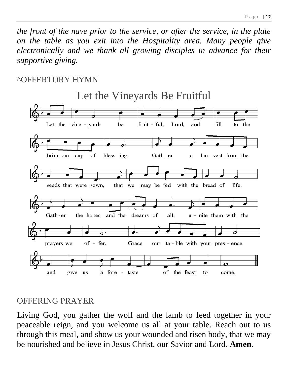*the front of the nave prior to the service, or after the service, in the plate on the table as you exit into the Hospitality area. Many people give electronically and we thank all growing disciples in advance for their supportive giving.*

#### ^OFFERTORY HYMN



#### OFFERING PRAYER

Living God, you gather the wolf and the lamb to feed together in your peaceable reign, and you welcome us all at your table. Reach out to us through this meal, and show us your wounded and risen body, that we may be nourished and believe in Jesus Christ, our Savior and Lord. **Amen.**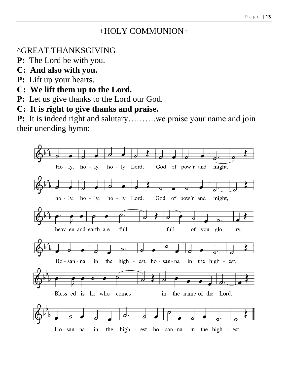#### +HOLY COMMUNION+

#### ^GREAT THANKSGIVING

- **P:** The Lord be with you.
- **C: And also with you.**
- **P:** Lift up your hearts.
- **C: We lift them up to the Lord.**
- **P:** Let us give thanks to the Lord our God.
- **C: It is right to give thanks and praise.**

**P:** It is indeed right and salutary………we praise your name and join their unending hymn:

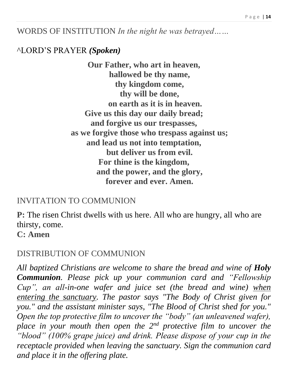WORDS OF INSTITUTION *In the night he was betrayed……*

#### ^LORD'S PRAYER *(Spoken)*

**Our Father, who art in heaven, hallowed be thy name, thy kingdom come, thy will be done, on earth as it is in heaven. Give us this day our daily bread; and forgive us our trespasses, as we forgive those who trespass against us; and lead us not into temptation, but deliver us from evil. For thine is the kingdom, and the power, and the glory, forever and ever. Amen.**

#### INVITATION TO COMMUNION

**P:** The risen Christ dwells with us here. All who are hungry, all who are thirsty, come.

**C: Amen**

#### DISTRIBUTION OF COMMUNION

*All baptized Christians are welcome to share the bread and wine of Holy Communion. Please pick up your communion card and "Fellowship Cup", an all-in-one wafer and juice set (the bread and wine) when entering the sanctuary. The pastor says "The Body of Christ given for you." and the assistant minister says, "The Blood of Christ shed for you." Open the top protective film to uncover the "body" (an unleavened wafer), place in your mouth then open the 2nd protective film to uncover the "blood" (100% grape juice) and drink. Please dispose of your cup in the receptacle provided when leaving the sanctuary. Sign the communion card and place it in the offering plate.*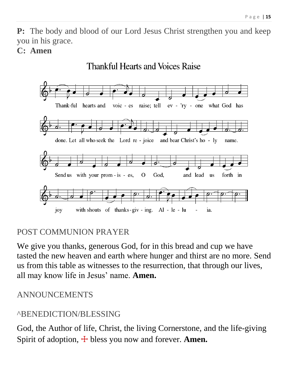**P:** The body and blood of our Lord Jesus Christ strengthen you and keep you in his grace.

#### **C: Amen**



#### POST COMMUNION PRAYER

We give you thanks, generous God, for in this bread and cup we have tasted the new heaven and earth where hunger and thirst are no more. Send us from this table as witnesses to the resurrection, that through our lives, all may know life in Jesus' name. **Amen.**

#### ANNOUNCEMENTS

#### ^BENEDICTION/BLESSING

God, the Author of life, Christ, the living Cornerstone, and the life-giving Spirit of adoption,  $\pm$  bless you now and forever. **Amen.**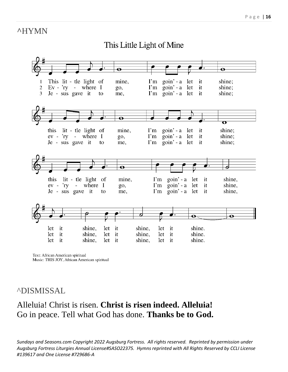#### **^**HYMN

#### This Little Light of Mine



Text: African American spiritual Music: THIS JOY, African American spiritual

#### ^DISMISSAL

#### Alleluia! Christ is risen. **Christ is risen indeed. Alleluia!** Go in peace. Tell what God has done. **Thanks be to God.**

*Sundays and Seasons.com Copyright 2022 Augsburg Fortress. All rights reserved. Reprinted by permission under Augsburg Fortress Liturgies Annual License#SASO22375. Hymns reprinted with All Rights Reserved by CCLI License #139617 and One License #729686-A*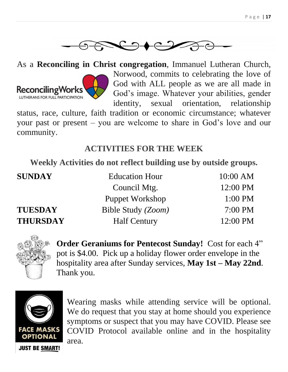

As a **Reconciling in Christ congregation**, Immanuel Lutheran Church, Norwood, commits to celebrating the love of God with ALL people as we are all made in **ReconcilingWorks** God's image. Whatever your abilities, gender LUTHERANS FOR FULL PARTICIPATION identity, sexual orientation, relationship status, race, culture, faith tradition or economic circumstance; whatever

your past or present – you are welcome to share in God's love and our community.

#### **ACTIVITIES FOR THE WEEK**

**Weekly Activities do not reflect building use by outside groups.**

| <b>SUNDAY</b>   | <b>Education Hour</b>  | $10:00$ AM         |
|-----------------|------------------------|--------------------|
|                 | Council Mtg.           | 12:00 PM           |
|                 | <b>Puppet Workshop</b> | $1:00$ PM          |
| <b>TUESDAY</b>  | Bible Study (Zoom)     | $7:00 \text{ PM}$  |
| <b>THURSDAY</b> | <b>Half Century</b>    | $12:00 \text{ PM}$ |



**Order Geraniums for Pentecost Sunday!** Cost for each 4" pot is \$4.00. Pick up a holiday flower order envelope in the hospitality area after Sunday services, **May 1st – May 22nd**. Thank you.



Wearing masks while attending service will be optional. We do request that you stay at home should you experience symptoms or suspect that you may have COVID. Please see COVID Protocol available online and in the hospitality area.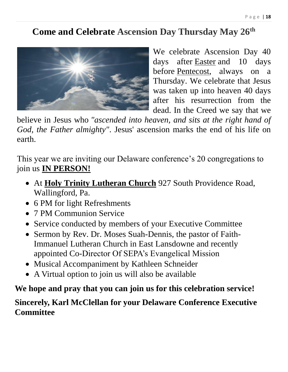### **Come and Celebrate Ascension Day Thursday May 26th**



We celebrate Ascension Day 40 days after [Easter](https://www.lutheranchurch.dk/liturgy-and-worship/festivals-and-traditions/easter) and 10 days before [Pentecost,](https://www.lutheranchurch.dk/liturgy-and-worship/festivals-and-traditions/pentecost) always on a Thursday. We celebrate that Jesus was taken up into heaven 40 days after his resurrection from the dead. In the Creed we say that we

believe in Jesus who *"ascended into heaven, and sits at the right hand of God, the Father almighty"*. Jesus' ascension marks the end of his life on earth.

This year we are inviting our Delaware conference's 20 congregations to join us **IN PERSON!**

- At **Holy Trinity Lutheran Church** 927 South Providence Road, Wallingford, Pa.
- 6 PM for light Refreshments
- 7 PM Communion Service
- Service conducted by members of your Executive Committee
- Sermon by Rev. Dr. Moses Suah-Dennis, the pastor of Faith-Immanuel Lutheran Church in East Lansdowne and recently appointed Co-Director Of SEPA's Evangelical Mission
- Musical Accompaniment by Kathleen Schneider
- A Virtual option to join us will also be available

#### **We hope and pray that you can join us for this celebration service!**

#### **Sincerely, Karl McClellan for your Delaware Conference Executive Committee**